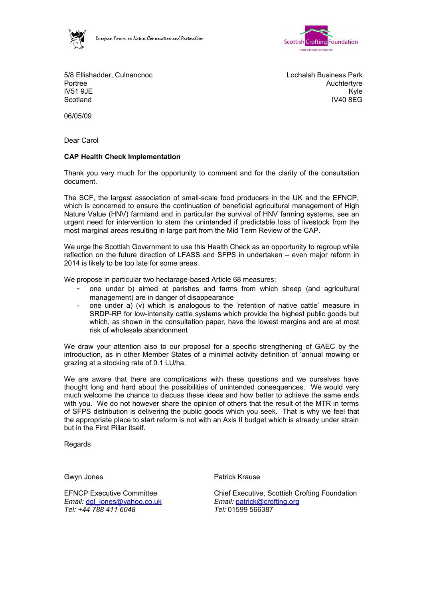



5/8 Ellishadder, Culnancnoc Portree IV51 9JE **Scotland** 

Lochalsh Business Park **Auchtertyre** Kyle IV40 8EG

06/05/09

Dear Carol

# **CAP Health Check Implementation**

Thank you very much for the opportunity to comment and for the clarity of the consultation document.

The SCF, the largest association of small-scale food producers in the UK and the EFNCP, which is concerned to ensure the continuation of beneficial agricultural management of High Nature Value (HNV) farmland and in particular the survival of HNV farming systems, see an urgent need for intervention to stem the unintended if predictable loss of livestock from the most marginal areas resulting in large part from the Mid Term Review of the CAP.

We urge the Scottish Government to use this Health Check as an opportunity to regroup while reflection on the future direction of LFASS and SFPS in undertaken – even major reform in 2014 is likely to be too late for some areas.

We propose in particular two hectarage-based Article 68 measures:

- one under b) aimed at parishes and farms from which sheep (and agricultural management) are in danger of disappearance
- one under a) (v) which is analogous to the 'retention of native cattle' measure in SRDP-RP for low-intensity cattle systems which provide the highest public goods but which, as shown in the consultation paper, have the lowest margins and are at most risk of wholesale abandonment

We draw your attention also to our proposal for a specific strengthening of GAEC by the introduction, as in other Member States of a minimal activity definition of 'annual mowing or grazing at a stocking rate of 0.1 LU/ha.

We are aware that there are complications with these questions and we ourselves have thought long and hard about the possibilities of unintended consequences. We would very much welcome the chance to discuss these ideas and how better to achieve the same ends with you. We do not however share the opinion of others that the result of the MTR in terms of SFPS distribution is delivering the public goods which you seek. That is why we feel that the appropriate place to start reform is not with an Axis II budget which is already under strain but in the First Pillar itself.

Regards

EFNCP Executive Committee *Email:* dgl\_jones@yahoo.co.uk *Tel: +44 788 411 6048*

Gwyn Jones **Patrick Krause** 

Chief Executive, Scottish Crofting Foundation *Email:* [patrick@crofting.org](mailto:patrick@crofting.org) *Tel:* 01599 566387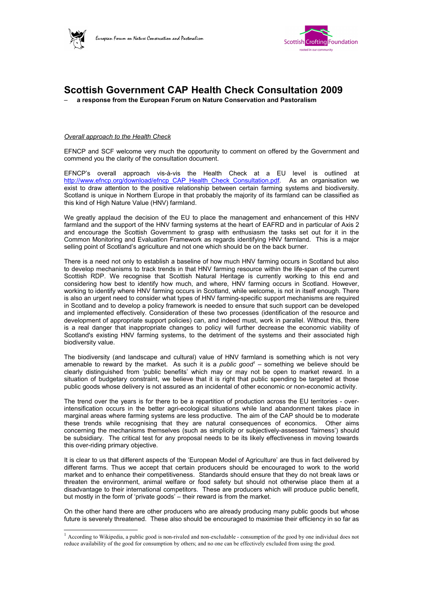



# **Scottish Government CAP Health Check Consultation 2009**

– **a response from the European Forum on Nature Conservation and Pastoralism**

### *Overall approach to the Health Check*

EFNCP and SCF welcome very much the opportunity to comment on offered by the Government and commend you the clarity of the consultation document.

EFNCP's overall approach vis-à-vis the Health Check at a EU level is outlined at [http://www.efncp.org/download/efncp\\_CAP\\_Health\\_Check\\_Consultation.pdf.](http://www.efncp.org/download/efncp_CAP_Health_Check_Consultation.pdf) As an organisation we exist to draw attention to the positive relationship between certain farming systems and biodiversity. Scotland is unique in Northern Europe in that probably the majority of its farmland can be classified as this kind of High Nature Value (HNV) farmland.

We greatly applaud the decision of the EU to place the management and enhancement of this HNV farmland and the support of the HNV farming systems at the heart of EAFRD and in particular of Axis 2 and encourage the Scottish Government to grasp with enthusiasm the tasks set out for it in the Common Monitoring and Evaluation Framework as regards identifying HNV farmland. This is a major selling point of Scotland's agriculture and not one which should be on the back burner.

There is a need not only to establish a baseline of how much HNV farming occurs in Scotland but also to develop mechanisms to track trends in that HNV farming resource within the life-span of the current Scottish RDP. We recognise that Scottish Natural Heritage is currently working to this end and considering how best to identify how much, and where, HNV farming occurs in Scotland. However, working to identify where HNV farming occurs in Scotland, while welcome, is not in itself enough. There is also an urgent need to consider what types of HNV farming-specific support mechanisms are required in Scotland and to develop a policy framework is needed to ensure that such support can be developed and implemented effectively. Consideration of these two processes (identification of the resource and development of appropriate support policies) can, and indeed must, work in parallel. Without this, there is a real danger that inappropriate changes to policy will further decrease the economic viability of Scotland's existing HNV farming systems, to the detriment of the systems and their associated high biodiversity value.

The biodiversity (and landscape and cultural) value of HNV farmland is something which is not very amenable to reward by the market. As such it is a *public good[1](#page-1-0)* – something we believe should be clearly distinguished from 'public benefits' which may or may not be open to market reward. In a situation of budgetary constraint, we believe that it is right that public spending be targeted at those public goods whose delivery is not assured as an incidental of other economic or non-economic activity.

The trend over the years is for there to be a repartition of production across the EU territories - overintensification occurs in the better agri-ecological situations while land abandonment takes place in marginal areas where farming systems are less productive. The aim of the CAP should be to moderate these trends while recognising that they are natural consequences of economics. Other aims concerning the mechanisms themselves (such as simplicity or subjectively-assessed 'fairness') should be subsidiary. The critical test for any proposal needs to be its likely effectiveness in moving towards this over-riding primary objective.

It is clear to us that different aspects of the 'European Model of Agriculture' are thus in fact delivered by different farms. Thus we accept that certain producers should be encouraged to work to the world market and to enhance their competitiveness. Standards should ensure that they do not break laws or threaten the environment, animal welfare or food safety but should not otherwise place them at a disadvantage to their international competitors. These are producers which will produce public benefit, but mostly in the form of 'private goods' – their reward is from the market.

On the other hand there are other producers who are already producing many public goods but whose future is severely threatened. These also should be encouraged to maximise their efficiency in so far as

<span id="page-1-0"></span> $1$  According to Wikipedia, a public good is non-rivaled and non-excludable - consumption of the good by one individual does not reduce availability of the good for consumption by others; and no one can be effectively excluded from using the good.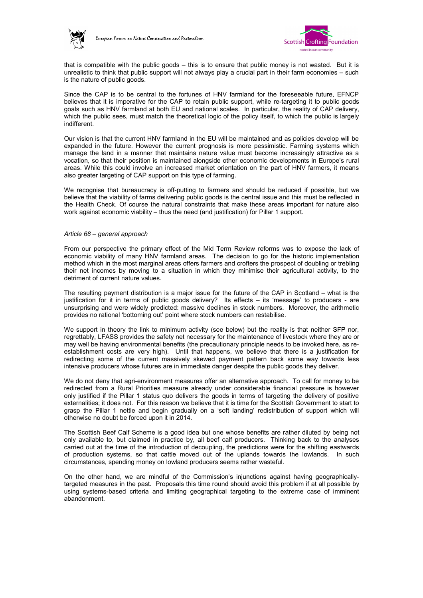



that is compatible with the public goods – this is to ensure that public money is not wasted. But it is unrealistic to think that public support will not always play a crucial part in their farm economies – such is the nature of public goods.

Since the CAP is to be central to the fortunes of HNV farmland for the foreseeable future, EFNCP believes that it is imperative for the CAP to retain public support, while re-targeting it to public goods goals such as HNV farmland at both EU and national scales. In particular, the reality of CAP delivery, which the public sees, must match the theoretical logic of the policy itself, to which the public is largely indifferent.

Our vision is that the current HNV farmland in the EU will be maintained and as policies develop will be expanded in the future. However the current prognosis is more pessimistic. Farming systems which manage the land in a manner that maintains nature value must become increasingly attractive as a vocation, so that their position is maintained alongside other economic developments in Europe's rural areas. While this could involve an increased market orientation on the part of HNV farmers, it means also greater targeting of CAP support on this type of farming.

We recognise that bureaucracy is off-putting to farmers and should be reduced if possible, but we believe that the viability of farms delivering public goods is the central issue and this must be reflected in the Health Check. Of course the natural constraints that make these areas important for nature also work against economic viability – thus the need (and justification) for Pillar 1 support.

#### *Article 68 – general approach*

From our perspective the primary effect of the Mid Term Review reforms was to expose the lack of economic viability of many HNV farmland areas. The decision to go for the historic implementation method which in the most marginal areas offers farmers and crofters the prospect of doubling or trebling their net incomes by moving to a situation in which they minimise their agricultural activity, to the detriment of current nature values.

The resulting payment distribution is a major issue for the future of the CAP in Scotland – what is the justification for it in terms of public goods delivery? Its effects – its 'message' to producers - are unsurprising and were widely predicted: massive declines in stock numbers. Moreover, the arithmetic provides no rational 'bottoming out' point where stock numbers can restabilise.

We support in theory the link to minimum activity (see below) but the reality is that neither SFP nor, regrettably, LFASS provides the safety net necessary for the maintenance of livestock where they are or may well be having environmental benefits (the precautionary principle needs to be invoked here, as reestablishment costs are very high). Until that happens, we believe that there is a justification for redirecting some of the current massively skewed payment pattern back some way towards less intensive producers whose futures are in immediate danger despite the public goods they deliver.

We do not deny that agri-environment measures offer an alternative approach. To call for money to be redirected from a Rural Priorities measure already under considerable financial pressure is however only justified if the Pillar 1 status quo delivers the goods in terms of targeting the delivery of positive externalities; it does not. For this reason we believe that it is time for the Scottish Government to start to grasp the Pillar 1 nettle and begin gradually on a 'soft landing' redistribution of support which will otherwise no doubt be forced upon it in 2014.

The Scottish Beef Calf Scheme is a good idea but one whose benefits are rather diluted by being not only available to, but claimed in practice by, all beef calf producers. Thinking back to the analyses carried out at the time of the introduction of decoupling, the predictions were for the shifting eastwards of production systems, so that cattle moved out of the uplands towards the lowlands. In such circumstances, spending money on lowland producers seems rather wasteful.

On the other hand, we are mindful of the Commission's injunctions against having geographicallytargeted measures in the past. Proposals this time round should avoid this problem if at all possible by using systems-based criteria and limiting geographical targeting to the extreme case of imminent abandonment.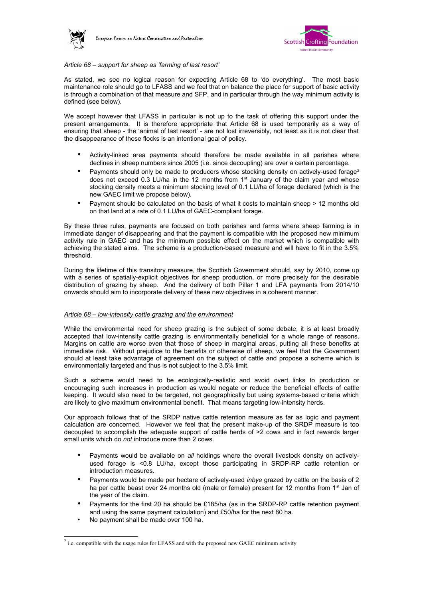



### *Article 68 – support for sheep as 'farming of last resort'*

As stated, we see no logical reason for expecting Article 68 to 'do everything'. The most basic maintenance role should go to LFASS and we feel that on balance the place for support of basic activity is through a combination of that measure and SFP, and in particular through the way minimum activity is defined (see below).

We accept however that LFASS in particular is not up to the task of offering this support under the present arrangements. It is therefore appropriate that Article 68 is used temporarily as a way of ensuring that sheep - the 'animal of last resort' - are not lost irreversibly, not least as it is not clear that the disappearance of these flocks is an intentional goal of policy.

- Activity-linked area payments should therefore be made available in all parishes where declines in sheep numbers since 2005 (i.e. since decoupling) are over a certain percentage.
- Payments should only be made to producers whose stocking density on actively-used forage<sup>[2](#page-3-0)</sup> does not exceed 0.3 LU/ha in the 12 months from 1<sup>st</sup> January of the claim year and whose stocking density meets a minimum stocking level of 0.1 LU/ha of forage declared (which is the new GAEC limit we propose below).
- Payment should be calculated on the basis of what it costs to maintain sheep > 12 months old on that land at a rate of 0.1 LU/ha of GAEC-compliant forage.

By these three rules, payments are focused on both parishes and farms where sheep farming is in immediate danger of disappearing and that the payment is compatible with the proposed new minimum activity rule in GAEC and has the minimum possible effect on the market which is compatible with achieving the stated aims. The scheme is a production-based measure and will have to fit in the 3.5% threshold.

During the lifetime of this transitory measure, the Scottish Government should, say by 2010, come up with a series of spatially-explicit objectives for sheep production, or more precisely for the desirable distribution of grazing by sheep. And the delivery of both Pillar 1 and LFA payments from 2014/10 onwards should aim to incorporate delivery of these new objectives in a coherent manner.

# *Article 68 – low-intensity cattle grazing and the environment*

While the environmental need for sheep grazing is the subject of some debate, it is at least broadly accepted that low-intensity cattle grazing is environmentally beneficial for a whole range of reasons. Margins on cattle are worse even that those of sheep in marginal areas, putting all these benefits at immediate risk. Without prejudice to the benefits or otherwise of sheep, we feel that the Government should at least take advantage of agreement on the subject of cattle and propose a scheme which is environmentally targeted and thus is not subject to the 3.5% limit.

Such a scheme would need to be ecologically-realistic and avoid overt links to production or encouraging such increases in production as would negate or reduce the beneficial effects of cattle keeping. It would also need to be targeted, not geographically but using systems-based criteria which are likely to give maximum environmental benefit. That means targeting low-intensity herds.

Our approach follows that of the SRDP native cattle retention measure as far as logic and payment calculation are concerned. However we feel that the present make-up of the SRDP measure is too decoupled to accomplish the adequate support of cattle herds of >2 cows and in fact rewards larger small units which do *not* introduce more than 2 cows.

- Payments would be available on *all* holdings where the overall livestock density on activelyused forage is <0.8 LU/ha, except those participating in SRDP-RP cattle retention or introduction measures.
- Payments would be made per hectare of actively-used *inbye* grazed by cattle on the basis of 2 ha per cattle beast over 24 months old (male or female) present for 12 months from 1<sup>st</sup> Jan of the year of the claim.
- Payments for the first 20 ha should be £185/ha (as in the SRDP-RP cattle retention payment and using the same payment calculation) and £50/ha for the next 80 ha.
- No payment shall be made over 100 ha.

<span id="page-3-0"></span> $2^{2}$  i.e. compatible with the usage rules for LFASS and with the proposed new GAEC minimum activity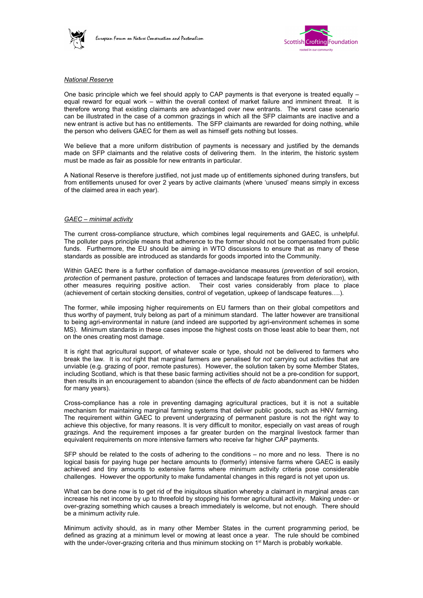



### *National Reserve*

One basic principle which we feel should apply to CAP payments is that everyone is treated equally – equal reward for equal work – within the overall context of market failure and imminent threat. It is therefore wrong that existing claimants are advantaged over new entrants. The worst case scenario can be illustrated in the case of a common grazings in which all the SFP claimants are inactive and a new entrant is active but has no entitlements. The SFP claimants are rewarded for doing nothing, while the person who delivers GAEC for them as well as himself gets nothing but losses.

We believe that a more uniform distribution of payments is necessary and justified by the demands made on SFP claimants and the relative costs of delivering them. In the interim, the historic system must be made as fair as possible for new entrants in particular.

A National Reserve is therefore justified, not just made up of entitlements siphoned during transfers, but from entitlements unused for over 2 years by active claimants (where 'unused' means simply in excess of the claimed area in each year).

#### *GAEC – minimal activity*

The current cross-compliance structure, which combines legal requirements and GAEC, is unhelpful. The polluter pays principle means that adherence to the former should not be compensated from public funds. Furthermore, the EU should be aiming in WTO discussions to ensure that as many of these standards as possible are introduced as standards for goods imported into the Community.

Within GAEC there is a further conflation of damage-avoidance measures (*prevention* of soil erosion, *protection* of permanent pasture, protection of terraces and landscape features from *deterioration*), with other measures requiring positive action. Their cost varies considerably from place to place (achievement of certain stocking densities, control of vegetation, upkeep of landscape features….).

The former, while imposing higher requirements on EU farmers than on their global competitors and thus worthy of payment, truly belong as part of a minimum standard. The latter however are transitional to being agri-environmental in nature (and indeed are supported by agri-environment schemes in some MS). Minimum standards in these cases impose the highest costs on those least able to bear them, not on the ones creating most damage.

It is right that agricultural support, of whatever scale or type, should not be delivered to farmers who break the law. It is *not* right that marginal farmers are penalised for *not* carrying out activities that are unviable (e.g. grazing of poor, remote pastures). However, the solution taken by some Member States, including Scotland, which is that these basic farming activities should not be a pre-condition for support, then results in an encouragement to abandon (since the effects of *de facto* abandonment can be hidden for many years).

Cross-compliance has a role in preventing damaging agricultural practices, but it is not a suitable mechanism for maintaining marginal farming systems that deliver public goods, such as HNV farming. The requirement within GAEC to prevent undergrazing of permanent pasture is not the right way to achieve this objective, for many reasons. It is very difficult to monitor, especially on vast areas of rough grazings. And the requirement imposes a far greater burden on the marginal livestock farmer than equivalent requirements on more intensive farmers who receive far higher CAP payments.

SFP should be related to the costs of adhering to the conditions - no more and no less. There is no logical basis for paying huge per hectare amounts to (formerly) intensive farms where GAEC is easily achieved and tiny amounts to extensive farms where minimum activity criteria pose considerable challenges. However the opportunity to make fundamental changes in this regard is not yet upon us.

What can be done now is to get rid of the iniquitous situation whereby a claimant in marginal areas can increase his net income by up to threefold by stopping his former agricultural activity. Making under- or over-grazing something which causes a breach immediately is welcome, but not enough. There should be a minimum activity rule.

Minimum activity should, as in many other Member States in the current programming period, be defined as grazing at a minimum level or mowing at least once a year. The rule should be combined with the under-/over-grazing criteria and thus minimum stocking on 1<sup>st</sup> March is probably workable.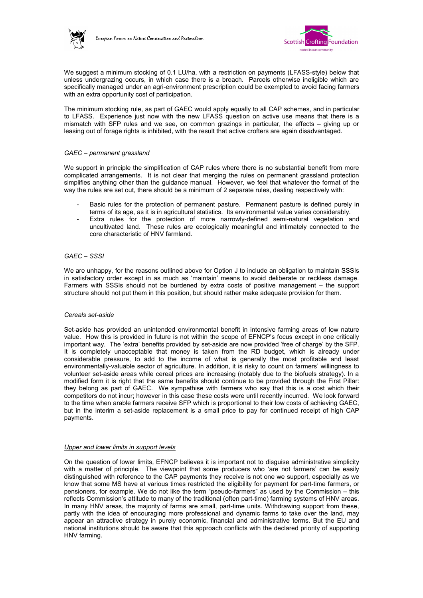



We suggest a minimum stocking of 0.1 LU/ha, with a restriction on payments (LFASS-style) below that unless undergrazing occurs, in which case there is a breach. Parcels otherwise ineligible which are specifically managed under an agri-environment prescription could be exempted to avoid facing farmers with an extra opportunity cost of participation.

The minimum stocking rule, as part of GAEC would apply equally to all CAP schemes, and in particular to LFASS. Experience just now with the new LFASS question on active use means that there is a mismatch with SFP rules and we see, on common grazings in particular, the effects – giving up or leasing out of forage rights is inhibited, with the result that active crofters are again disadvantaged.

### *GAEC – permanent grassland*

We support in principle the simplification of CAP rules where there is no substantial benefit from more complicated arrangements. It is not clear that merging the rules on permanent grassland protection simplifies anything other than the guidance manual. However, we feel that whatever the format of the way the rules are set out, there should be a minimum of 2 separate rules, dealing respectively with:

- Basic rules for the protection of permanent pasture. Permanent pasture is defined purely in terms of its age, as it is in agricultural statistics. Its environmental value varies considerably.
- Extra rules for the protection of more narrowly-defined semi-natural vegetation and uncultivated land. These rules are ecologically meaningful and intimately connected to the core characteristic of HNV farmland.

# *GAEC – SSSI*

We are unhappy, for the reasons outlined above for Option J to include an obligation to maintain SSSIs in satisfactory order except in as much as 'maintain' means to avoid deliberate or reckless damage. Farmers with SSSIs should not be burdened by extra costs of positive management – the support structure should not put them in this position, but should rather make adequate provision for them.

#### *Cereals set-aside*

Set-aside has provided an unintended environmental benefit in intensive farming areas of low nature value. How this is provided in future is not within the scope of EFNCP's focus except in one critically important way. The 'extra' benefits provided by set-aside are now provided 'free of charge' by the SFP. It is completely unacceptable that money is taken from the RD budget, which is already under considerable pressure, to add to the income of what is generally the most profitable and least environmentally-valuable sector of agriculture. In addition, it is risky to count on farmers' willingness to volunteer set-aside areas while cereal prices are increasing (notably due to the biofuels strategy). In a modified form it is right that the same benefits should continue to be provided through the First Pillar: they belong as part of GAEC. We sympathise with farmers who say that this is a cost which their competitors do not incur; however in this case these costs were until recently incurred. We look forward to the time when arable farmers receive SFP which is proportional to their low costs of achieving GAEC, but in the interim a set-aside replacement is a small price to pay for continued receipt of high CAP payments.

#### *Upper and lower limits in support levels*

On the question of lower limits, EFNCP believes it is important not to disguise administrative simplicity with a matter of principle. The viewpoint that some producers who 'are not farmers' can be easily distinguished with reference to the CAP payments they receive is not one we support, especially as we know that some MS have at various times restricted the eligibility for payment for part-time farmers, or pensioners, for example. We do not like the term "pseudo-farmers" as used by the Commission – this reflects Commission's attitude to many of the traditional (often part-time) farming systems of HNV areas. In many HNV areas, the majority of farms are small, part-time units. Withdrawing support from these, partly with the idea of encouraging more professional and dynamic farms to take over the land, may appear an attractive strategy in purely economic, financial and administrative terms. But the EU and national institutions should be aware that this approach conflicts with the declared priority of supporting HNV farming.